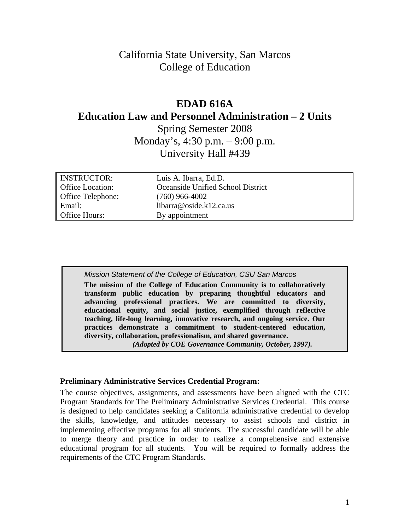# California State University, San Marcos College of Education

# **Education Law and Personnel Administration – 2 Units EDAD 616A**

Spring Semester 2008 Monday's, 4:30 p.m. – 9:00 p.m. University Hall #439

| <b>INSTRUCTOR:</b>       | Luis A. Ibarra, Ed.D.             |
|--------------------------|-----------------------------------|
| <b>Office Location:</b>  | Oceanside Unified School District |
| <b>Office Telephone:</b> | $(760)$ 966-4002                  |
| Email:                   | libarra@oside.k12.ca.us           |
| <b>Office Hours:</b>     | By appointment                    |

*Mission Statement of the College of Education, CSU San Marcos*  **The mission of the College of Education Community is to collaboratively transform public education by preparing thoughtful educators and advancing professional practices. We are committed to diversity, educational equity, and social justice, exemplified through reflective teaching, life-long learning, innovative research, and ongoing service. Our practices demonstrate a commitment to student-centered education, diversity, collaboration, professionalism, and shared governance.**  *(Adopted by COE Governance Community, October, 1997).* 

#### **Preliminary Administrative Services Credential Program:**

The course objectives, assignments, and assessments have been aligned with the CTC Program Standards for The Preliminary Administrative Services Credential. This course is designed to help candidates seeking a California administrative credential to develop the skills, knowledge, and attitudes necessary to assist schools and district in implementing effective programs for all students. The successful candidate will be able to merge theory and practice in order to realize a comprehensive and extensive educational program for all students. You will be required to formally address the requirements of the CTC Program Standards.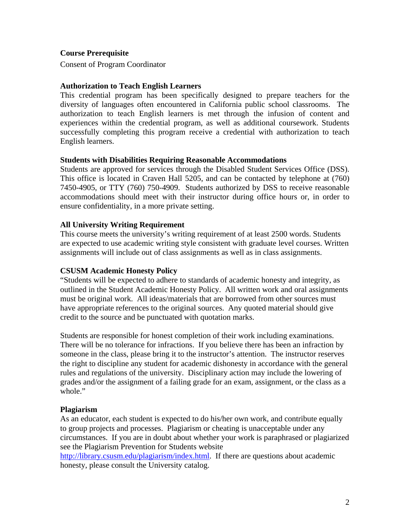#### **Course Prerequisite**

Consent of Program Coordinator

#### **Authorization to Teach English Learners**

This credential program has been specifically designed to prepare teachers for the diversity of languages often encountered in California public school classrooms. The authorization to teach English learners is met through the infusion of content and experiences within the credential program, as well as additional coursework. Students successfully completing this program receive a credential with authorization to teach English learners.

#### **Students with Disabilities Requiring Reasonable Accommodations**

Students are approved for services through the Disabled Student Services Office (DSS). This office is located in Craven Hall 5205, and can be contacted by telephone at (760) 7450-4905, or TTY (760) 750-4909. Students authorized by DSS to receive reasonable accommodations should meet with their instructor during office hours or, in order to ensure confidentiality, in a more private setting.

#### **All University Writing Requirement**

This course meets the university's writing requirement of at least 2500 words. Students are expected to use academic writing style consistent with graduate level courses. Written assignments will include out of class assignments as well as in class assignments.

## **CSUSM Academic Honesty Policy**

"Students will be expected to adhere to standards of academic honesty and integrity, as outlined in the Student Academic Honesty Policy. All written work and oral assignments must be original work. All ideas/materials that are borrowed from other sources must have appropriate references to the original sources. Any quoted material should give credit to the source and be punctuated with quotation marks.

Students are responsible for honest completion of their work including examinations. There will be no tolerance for infractions. If you believe there has been an infraction by someone in the class, please bring it to the instructor's attention. The instructor reserves the right to discipline any student for academic dishonesty in accordance with the general rules and regulations of the university. Disciplinary action may include the lowering of grades and/or the assignment of a failing grade for an exam, assignment, or the class as a whole."

## **Plagiarism**

As an educator, each student is expected to do his/her own work, and contribute equally to group projects and processes. Plagiarism or cheating is unacceptable under any circumstances. If you are in doubt about whether your work is paraphrased or plagiarized see the Plagiarism Prevention for Students website

http://library.csusm.edu/plagiarism/index.html. If there are questions about academic honesty, please consult the University catalog.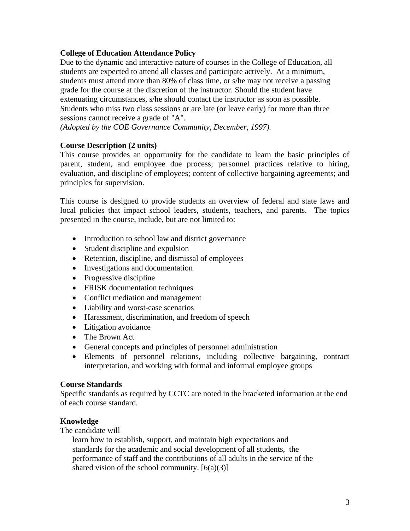## **College of Education Attendance Policy**

Due to the dynamic and interactive nature of courses in the College of Education, all students are expected to attend all classes and participate actively. At a minimum, students must attend more than 80% of class time, or s/he may not receive a passing grade for the course at the discretion of the instructor. Should the student have extenuating circumstances, s/he should contact the instructor as soon as possible. Students who miss two class sessions or are late (or leave early) for more than three sessions cannot receive a grade of "A".

 *(Adopted by the COE Governance Community, December, 1997).* 

## **Course Description (2 units)**

This course provides an opportunity for the candidate to learn the basic principles of parent, student, and employee due process; personnel practices relative to hiring, evaluation, and discipline of employees; content of collective bargaining agreements; and principles for supervision.

This course is designed to provide students an overview of federal and state laws and local policies that impact school leaders, students, teachers, and parents. The topics presented in the course, include, but are not limited to:

- Introduction to school law and district governance
- Student discipline and expulsion
- Retention, discipline, and dismissal of employees
- Investigations and documentation
- Progressive discipline
- FRISK documentation techniques
- Conflict mediation and management
- Liability and worst-case scenarios
- Harassment, discrimination, and freedom of speech
- Litigation avoidance
- The Brown Act
- General concepts and principles of personnel administration
- • Elements of personnel relations, including collective bargaining, contract interpretation, and working with formal and informal employee groups

## **Course Standards**

Specific standards as required by CCTC are noted in the bracketed information at the end of each course standard.

## **Knowledge**

The candidate will

performance of staff and the contributions of all adults in the service of the shared vision of the school community.  $[6(a)(3)]$ learn how to establish, support, and maintain high expectations and standards for the academic and social development of all students, the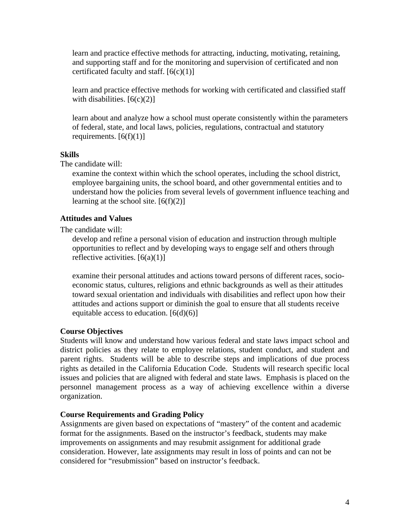learn and practice effective methods for attracting, inducting, motivating, retaining, and supporting staff and for the monitoring and supervision of certificated and non certificated faculty and staff.  $[6(c)(1)]$ 

learn and practice effective methods for working with certificated and classified staff with disabilities.  $[6(c)(2)]$ 

learn about and analyze how a school must operate consistently within the parameters of federal, state, and local laws, policies, regulations, contractual and statutory requirements.  $[6(f)(1)]$ 

## **Skills**

The candidate will:

understand how the policies from several levels of government influence teaching and learning at the school site.  $[6(f)(2)]$ examine the context within which the school operates, including the school district, employee bargaining units, the school board, and other governmental entities and to

#### **Attitudes and Values**

The candidate will:

develop and refine a personal vision of education and instruction through multiple opportunities to reflect and by developing ways to engage self and others through reflective activities.  $[6(a)(1)]$ 

examine their personal attitudes and actions toward persons of different races, socioeconomic status, cultures, religions and ethnic backgrounds as well as their attitudes toward sexual orientation and individuals with disabilities and reflect upon how their attitudes and actions support or diminish the goal to ensure that all students receive equitable access to education.  $[6(d)(6)]$ 

#### **Course Objectives**

Students will know and understand how various federal and state laws impact school and district policies as they relate to employee relations, student conduct, and student and parent rights. Students will be able to describe steps and implications of due process rights as detailed in the California Education Code. Students will research specific local issues and policies that are aligned with federal and state laws. Emphasis is placed on the personnel management process as a way of achieving excellence within a diverse organization.

#### **Course Requirements and Grading Policy**

Assignments are given based on expectations of "mastery" of the content and academic format for the assignments. Based on the instructor's feedback, students may make improvements on assignments and may resubmit assignment for additional grade consideration. However, late assignments may result in loss of points and can not be considered for "resubmission" based on instructor's feedback.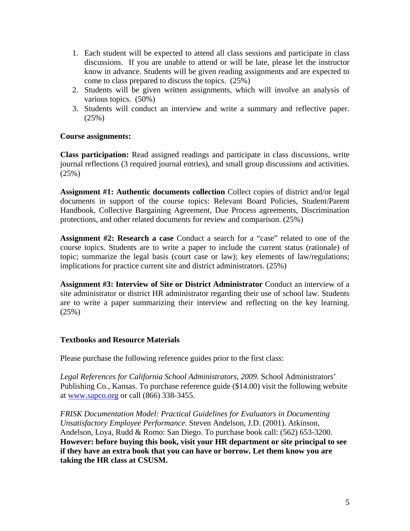- 1. Each student will be expected to attend all class sessions and participate in class discussions. If you are unable to attend or will be late, please let the instructor know in advance. Students will be given reading assignments and are expected to come to class prepared to discuss the topics. (25%)
- 2. Students will be given written assignments, which will involve an analysis of various topics. (50%)
- 3. Students will conduct an interview and write a summary and reflective paper. (25%)

#### **Course assignments:**

**Class participation:** Read assigned readings and participate in class discussions, write journal reflections (3 required journal entries), and small group discussions and activities. (25%)

**Assignment #1: Authentic documents collection** Collect copies of district and/or legal documents in support of the course topics: Relevant Board Policies, Student/Parent Handbook, Collective Bargaining Agreement, Due Process agreements, Discrimination protections, and other related documents for review and comparison. (25%)

**Assignment #2: Research a case** Conduct a search for a "case" related to one of the course topics. Students are to write a paper to include the current status (rationale) of topic; summarize the legal basis (court case or law); key elements of law/regulations; implications for practice current site and district administrators. (25%)

**Assignment #3: Interview of Site or District Administrator** Conduct an interview of a site administrator or district HR administrator regarding their use of school law. Students are to write a paper summarizing their interview and reflecting on the key learning. (25%)

## **Textbooks and Resource Materials**

Please purchase the following reference guides prior to the first class:

at <u>www.sapco.org</u> or call (866) 338-3455. *Legal References for California School Administrators, 2009.* School Administrators' Publishing Co., Kansas. To purchase reference guide (\$14.00) visit the following website

*FRISK Documentation Model: Practical Guidelines for Evaluators in Documenting Unsatisfactory Employee Performance.* Steven Andelson, J.D. (2001). Atkinson, Andelson, Loya, Rudd & Romo: San Diego. To purchase book call: (562) 653-3200. **However: before buying this book, visit your HR department or site principal to see if they have an extra book that you can have or borrow. Let them know you are taking the HR class at CSUSM.**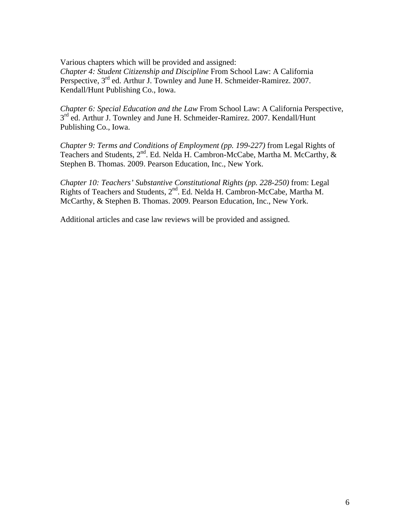Various chapters which will be provided and assigned: *Chapter 4: Student Citizenship and Discipline* From School Law: A California Perspective, 3<sup>rd</sup> ed. Arthur J. Townley and June H. Schmeider-Ramirez. 2007. Kendall/Hunt Publishing Co., Iowa.

*Chapter 6: Special Education and the Law* From School Law: A California Perspective,  $3<sup>rd</sup>$  ed. Arthur J. Townley and June H. Schmeider-Ramirez. 2007. Kendall/Hunt Publishing Co., Iowa.

*Chapter 9: Terms and Conditions of Employment (pp. 199-227)* from Legal Rights of Teachers and Students, 2<sup>nd</sup>. Ed. Nelda H. Cambron-McCabe, Martha M. McCarthy, & Stephen B. Thomas. 2009. Pearson Education, Inc., New York.

*Chapter 10: Teachers' Substantive Constitutional Rights (pp. 228-250)* from: Legal Rights of Teachers and Students, 2<sup>nd</sup>. Ed. Nelda H. Cambron-McCabe, Martha M. McCarthy, & Stephen B. Thomas. 2009. Pearson Education, Inc., New York.

Additional articles and case law reviews will be provided and assigned.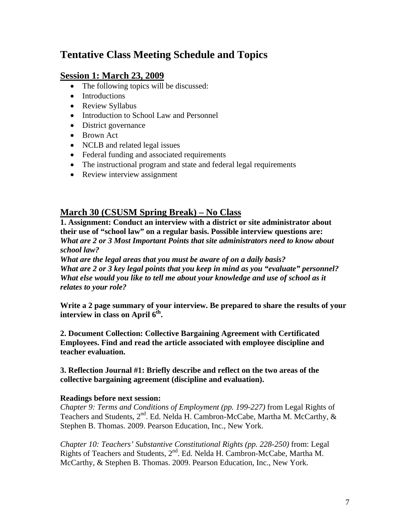# **Tentative Class Meeting Schedule and Topics**

# **Session 1: March 23, 2009**

- The following topics will be discussed:
- Introductions
- Review Syllabus
- Introduction to School Law and Personnel
- District governance
- Brown Act
- NCLB and related legal issues
- Federal funding and associated requirements
- The instructional program and state and federal legal requirements
- Review interview assignment

# **March 30 (CSUSM Spring Break) – No Class**

**1. Assignment: Conduct an interview with a district or site administrator about their use of "school law" on a regular basis. Possible interview questions are:**  *What are 2 or 3 Most Important Points that site administrators need to know about school law?* 

*What are the legal areas that you must be aware of on a daily basis? What are 2 or 3 key legal points that you keep in mind as you "evaluate" personnel? What else would you like to tell me about your knowledge and use of school as it relates to your role?*

**Write a 2 page summary of your interview. Be prepared to share the results of your interview in class on April 6<sup>th</sup>.** 

**2. Document Collection: Collective Bargaining Agreement with Certificated Employees. Find and read the article associated with employee discipline and teacher evaluation.** 

**3. Reflection Journal #1: Briefly describe and reflect on the two areas of the collective bargaining agreement (discipline and evaluation).** 

#### **Readings before next session:**

*Chapter 9: Terms and Conditions of Employment (pp. 199-227)* from Legal Rights of Teachers and Students, 2<sup>nd</sup>. Ed. Nelda H. Cambron-McCabe, Martha M. McCarthy, & Stephen B. Thomas. 2009. Pearson Education, Inc., New York.

*Chapter 10: Teachers' Substantive Constitutional Rights (pp. 228-250)* from: Legal Rights of Teachers and Students, 2nd. Ed. Nelda H. Cambron-McCabe, Martha M. McCarthy, & Stephen B. Thomas. 2009. Pearson Education, Inc., New York.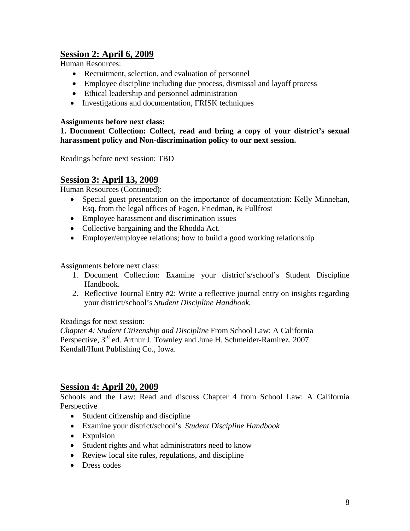# **Session 2: April 6, 2009**

Human Resources:

- Recruitment, selection, and evaluation of personnel
- Employee discipline including due process, dismissal and layoff process
- Ethical leadership and personnel administration
- Investigations and documentation, FRISK techniques

#### **Assignments before next class:**

**1. Document Collection: Collect, read and bring a copy of your district's sexual harassment policy and Non-discrimination policy to our next session.** 

Readings before next session: TBD

# **Session 3: April 13, 2009**

Human Resources (Continued):

- Special guest presentation on the importance of documentation: Kelly Minnehan, Esq. from the legal offices of Fagen, Friedman, & Fullfrost
- Employee harassment and discrimination issues
- Collective bargaining and the Rhodda Act.
- Employer/employee relations; how to build a good working relationship

Assignments before next class:

- 1. Document Collection: Examine your district's/school's Student Discipline Handbook.
- 2. Reflective Journal Entry #2: Write a reflective journal entry on insights regarding your district/school's *Student Discipline Handbook.*

Readings for next session:

*Chapter 4: Student Citizenship and Discipline* From School Law: A California Perspective,  $3^{rd}$  ed. Arthur J. Townley and June H. Schmeider-Ramirez. 2007. Kendall/Hunt Publishing Co., Iowa.

## **Session 4: April 20, 2009**

Schools and the Law: Read and discuss Chapter 4 from School Law: A California Perspective

- Student citizenship and discipline
- • Examine your district/school's *Student Discipline Handbook*
- Expulsion
- Student rights and what administrators need to know
- Review local site rules, regulations, and discipline
- Dress codes